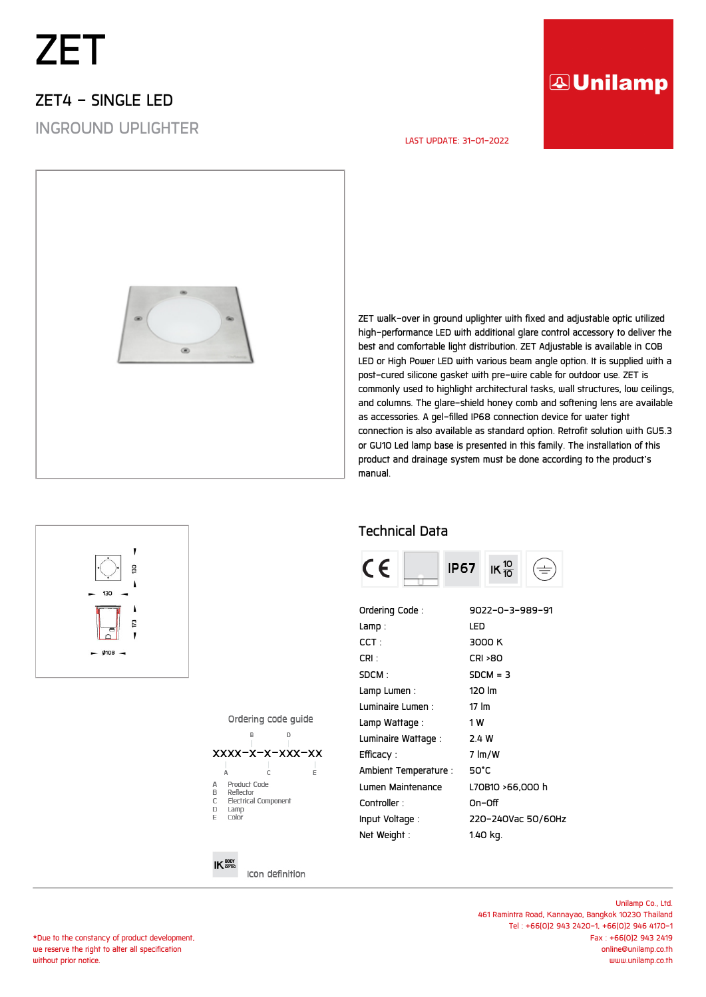## *ZET*

#### *ZET4 - SINGLE LED*

*INGROUND UPLIGHTER*

### **AUnilamp**

#### *LAST UPDATE: 31-01-2022*



*ZET walk-over in ground uplighter with fixed and adjustable optic utilized high-performance LED with additional glare control accessory to deliver the best and comfortable light distribution. ZET Adjustable is available in COB LED or High Power LED with various beam angle option. It is supplied with a post-cured silicone gasket with pre-wire cable for outdoor use. ZET is commonly used to highlight architectural tasks, wall structures, low ceilings, and columns. The glare-shield honey comb and softening lens are available as accessories. A gel-filled IP68 connection device for water tight connection is also available as standard option. Retrofit solution with GU5.3 or GU10 Led lamp base is presented in this family. The installation of this product and drainage system must be done according to the product's manual.*

#### *Technical Data*



| Ordering Code:                     | 9022-0-3-989-91    |
|------------------------------------|--------------------|
| Lamp :                             | LED                |
| $\mathsf{C}\mathsf{C}\mathsf{T}$ : | 3000 K             |
| CRI :                              | <b>CRI &gt;80</b>  |
| SDCM :                             | $SDCM = 3$         |
| Lamp Lumen :                       | 120 lm             |
| Luminaire Lumen :                  | $17 \, \text{Im}$  |
| Lamp Wattage :                     | 1 W                |
| Luminaire Wattage :                | 2.4 W              |
| Efficacy :                         | 7 lm/W             |
| Ambient Temperature :              | 50°C               |
| Lumen Maintenance                  | L70B10 >66.000 h   |
| Controller:                        | On-Off             |
| Input Voltage :                    | 220-240Vac 50/60Hz |
| Net Weight:                        | 1.40 kg.           |
|                                    |                    |

Ordering code quide



Icon definition

 $IK \frac{BODY}{BDE}$ 

*Unilamp Co., Ltd. 461 Ramintra Road, Kannayao, Bangkok 10230 Thailand Tel : +66(0)2 943 2420-1, +66(0)2 946 4170-1 Fax : +66(0)2 943 2419 online@unilamp.co.th www.unilamp.co.th*

# $\overline{a}$  $@108$

*\*Due to the constancy of product development, we reserve the right to alter all specification without prior notice.*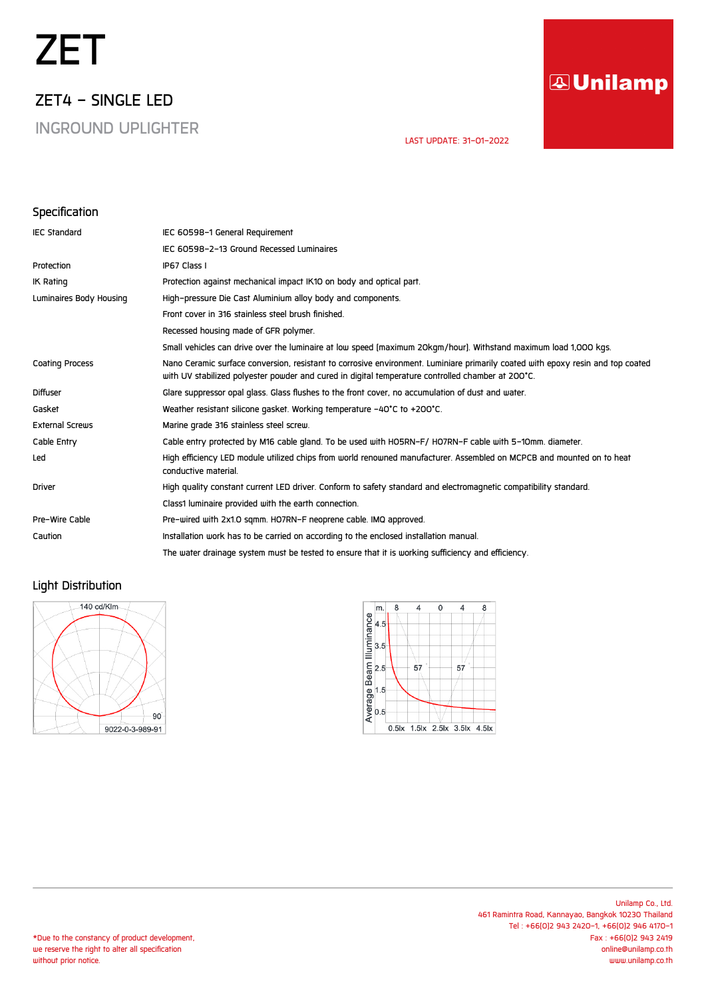## *ZET*

*ZET4 - SINGLE LED*

*INGROUND UPLIGHTER*

### **AUnilamp**

 *LAST UPDATE: 31-01-2022* 

#### *Specification*

| <b>IEC Standard</b>     | IEC 60598-1 General Requirement                                                                                                                                                                                                      |
|-------------------------|--------------------------------------------------------------------------------------------------------------------------------------------------------------------------------------------------------------------------------------|
|                         | IEC 60598-2-13 Ground Recessed Luminaires                                                                                                                                                                                            |
| Protection              | IP67 Class I                                                                                                                                                                                                                         |
| IK Rating               | Protection against mechanical impact IK10 on body and optical part.                                                                                                                                                                  |
| Luminaires Body Housing | High-pressure Die Cast Aluminium alloy body and components.                                                                                                                                                                          |
|                         | Front cover in 316 stainless steel brush finished.                                                                                                                                                                                   |
|                         | Recessed housing made of GFR polymer.                                                                                                                                                                                                |
|                         | Small vehicles can drive over the luminaire at low speed (maximum 20kgm/hour). Withstand maximum load 1,000 kgs.                                                                                                                     |
| <b>Coating Process</b>  | Nano Ceramic surface conversion, resistant to corrosive environment. Luminiare primarily coated with epoxy resin and top coated<br>with UV stabilized polyester powder and cured in digital temperature controlled chamber at 200°C. |
| <b>Diffuser</b>         | Glare suppressor opal glass. Glass flushes to the front cover, no accumulation of dust and water.                                                                                                                                    |
| Gasket                  | Weather resistant silicone gasket. Working temperature -40°C to +200°C.                                                                                                                                                              |
| <b>External Screws</b>  | Marine grade 316 stainless steel screw.                                                                                                                                                                                              |
| Cable Entry             | Cable entry protected by M16 cable gland. To be used with HO5RN-F/HO7RN-F cable with 5-10mm. diameter.                                                                                                                               |
| Led                     | High efficiency LED module utilized chips from world renowned manufacturer. Assembled on MCPCB and mounted on to heat<br>conductive material.                                                                                        |
| <b>Driver</b>           | High quality constant current LED driver. Conform to safety standard and electromagnetic compatibility standard.                                                                                                                     |
|                         | Class1 luminaire provided with the earth connection.                                                                                                                                                                                 |
| Pre-Wire Cable          | Pre-wired with 2x1.0 sqmm. HO7RN-F neoprene cable. IMQ approved.                                                                                                                                                                     |
| Caution                 | Installation work has to be carried on according to the enclosed installation manual.                                                                                                                                                |
|                         | The water drainage system must be tested to ensure that it is working sufficiency and efficiency.                                                                                                                                    |

#### *Light Distribution*